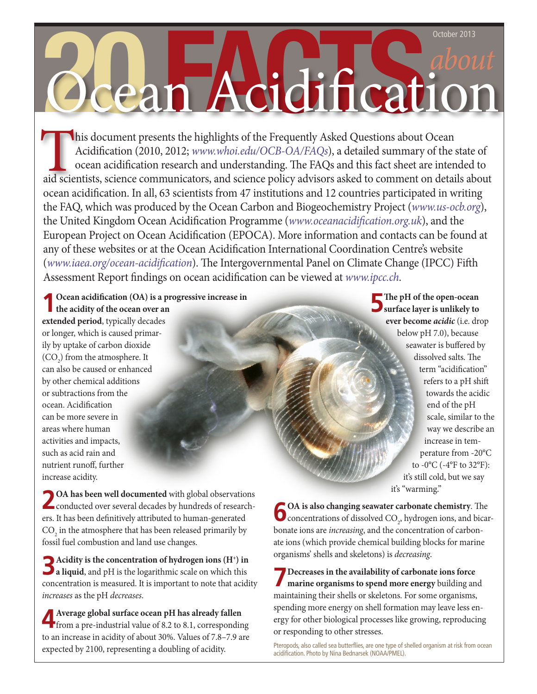## **Ocean Acidification** October 2013

his document presents the highlights of the Frequently Asked Questions about Ocean<br>Acidification (2010, 2012; www.whoi.edu/OCB-OA/FAQs), a detailed summary of the socean acidification research and understanding. The FAQs a Acidification (2010, 2012; *www.whoi.edu/OCB-OA/FAQs*), a detailed summary of the state of ocean acidification research and understanding. The FAQs and this fact sheet are intended to This document presents the highlights of the Frequently Asked Questions about Ocean<br>Acidification (2010, 2012; www.whoi.edu/OCB-OA/FAQs), a detailed summary of the state of<br>ocean acidification research and understanding. T ocean acidification. In all, 63 scientists from 47 institutions and 12 countries participated in writing the FAQ, which was produced by the Ocean Carbon and Biogeochemistry Project (*www.us-ocb.org*), the United Kingdom Ocean Acidification Programme (*www.oceanacidification.org.uk*), and the European Project on Ocean Acidification (EPOCA). More information and contacts can be found at any of these websites or at the Ocean Acidification International Coordination Centre's website (*www.iaea.org/ocean-acidification*). The Intergovernmental Panel on Climate Change (IPCC) Fifth Assessment Report findings on ocean acidification can be viewed at *www.ipcc.ch*.

**1Ocean acidification (OA) is a progressive increase in the acidity of the ocean over an extended period**, typically decades or longer, which is caused primarily by uptake of carbon dioxide  $(CO_2)$  from the atmosphere. It can also be caused or enhanced by other chemical additions or subtractions from the ocean. Acidification can be more severe in areas where human activities and impacts, such as acid rain and nutrient runoff, further increase acidity.

**5The pH of the open-ocean surface layer is unlikely to ever become** *acidic* (i.e. drop below pH 7.0), because seawater is buffered by dissolved salts. The term "acidification" refers to a pH shift towards the acidic end of the pH scale, similar to the way we describe an increase in temperature from -20°C to  $-0$ °C ( $-4$ °F to 32°F): it's still cold, but we say it's "warming."

**2** OA has been well documented with global observations conducted over several decades by hundreds of researchers. It has been definitively attributed to human-generated  $\mathrm{CO}_2$  in the atmosphere that has been released primarily by fossil fuel combustion and land use changes.

**3Acidity is the concentration of hydrogen ions (H+) in a** liquid, and pH is the logarithmic scale on which this concentration is measured. It is important to note that acidity *increases* as the pH *decreases*.

**4 Average global surface ocean pH has already fallen** from a pre-industrial value of 8.2 to 8.1, corresponding to an increase in acidity of about 30%. Values of 7.8–7.9 are expected by 2100, representing a doubling of acidity.

**6** OA is also changing seawater carbonate chemistry. The concentrations of dissolved CO<sub>2</sub>, hydrogen ions, and bicarbonate ions are *increasing*, and the concentration of carbonate ions (which provide chemical building blocks for marine organisms' shells and skeletons) is *decreasing*.

**7Decreases in the availability of carbonate ions force marine organisms to spend more energy** building and maintaining their shells or skeletons. For some organisms, spending more energy on shell formation may leave less energy for other biological processes like growing, reproducing or responding to other stresses.

Pteropods, also called sea butterflies, are one type of shelled organism at risk from ocean acidification. Photo by Nina Bednarsek (NOAA/PMEL).